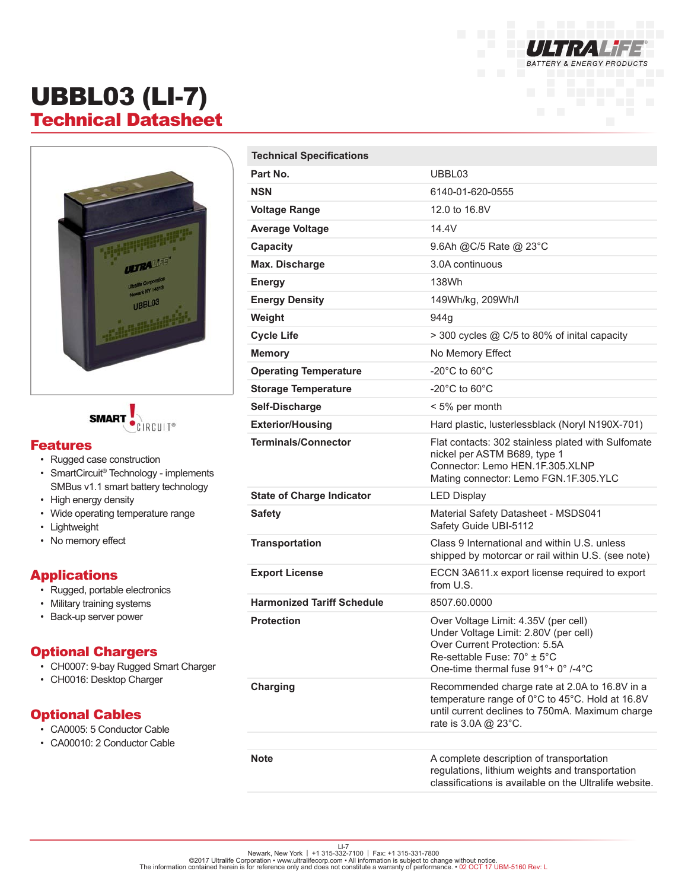

# UBBL03 (LI-7) Technical Datasheet





#### Features

- Rugged case construction
- SmartCircuit<sup>®</sup> Technology implements SMBus v1.1 smart battery technology
- High energy density
- Wide operating temperature range
- Lightweight
- No memory effect

#### **Applications**

- Rugged, portable electronics
- Military training systems
- Back-up server power

#### Optional Chargers

- CH0007: 9-bay Rugged Smart Charger
- CH0016: Desktop Charger

### Optional Cables

- CA0005: 5 Conductor Cable
- CA00010: 2 Conductor Cable

| <b>Technical Specifications</b>   |                                                                                                                                                                                      |
|-----------------------------------|--------------------------------------------------------------------------------------------------------------------------------------------------------------------------------------|
| Part No.                          | UBBL03                                                                                                                                                                               |
| <b>NSN</b>                        | 6140-01-620-0555                                                                                                                                                                     |
| <b>Voltage Range</b>              | 12.0 to 16.8V                                                                                                                                                                        |
| <b>Average Voltage</b>            | 14.4V                                                                                                                                                                                |
| Capacity                          | 9.6Ah @C/5 Rate @ 23°C                                                                                                                                                               |
| Max. Discharge                    | 3.0A continuous                                                                                                                                                                      |
| <b>Energy</b>                     | 138Wh                                                                                                                                                                                |
| <b>Energy Density</b>             | 149Wh/kg, 209Wh/l                                                                                                                                                                    |
| Weight                            | 944g                                                                                                                                                                                 |
| <b>Cycle Life</b>                 | > 300 cycles @ C/5 to 80% of inital capacity                                                                                                                                         |
| <b>Memory</b>                     | No Memory Effect                                                                                                                                                                     |
| <b>Operating Temperature</b>      | -20 $^{\circ}$ C to 60 $^{\circ}$ C                                                                                                                                                  |
| <b>Storage Temperature</b>        | -20 $^{\circ}$ C to 60 $^{\circ}$ C                                                                                                                                                  |
| Self-Discharge                    | < 5% per month                                                                                                                                                                       |
| <b>Exterior/Housing</b>           | Hard plastic, lusterlessblack (Noryl N190X-701)                                                                                                                                      |
| <b>Terminals/Connector</b>        | Flat contacts: 302 stainless plated with Sulfomate<br>nickel per ASTM B689, type 1<br>Connector: Lemo HEN.1F.305.XLNP<br>Mating connector: Lemo FGN.1F.305.YLC                       |
| <b>State of Charge Indicator</b>  | <b>LED Display</b>                                                                                                                                                                   |
| <b>Safety</b>                     | Material Safety Datasheet - MSDS041<br>Safety Guide UBI-5112                                                                                                                         |
| <b>Transportation</b>             | Class 9 International and within U.S. unless<br>shipped by motorcar or rail within U.S. (see note)                                                                                   |
| <b>Export License</b>             | ECCN 3A611.x export license required to export<br>from U.S.                                                                                                                          |
| <b>Harmonized Tariff Schedule</b> | 8507.60.0000                                                                                                                                                                         |
| <b>Protection</b>                 | Over Voltage Limit: 4.35V (per cell)<br>Under Voltage Limit: 2.80V (per cell)<br>Over Current Protection: 5.5A<br>Re-settable Fuse: 70° ± 5°C<br>One-time thermal fuse 91°+ 0° /-4°C |
| <b>Charging</b>                   | Recommended charge rate at 2.0A to 16.8V in a<br>temperature range of 0°C to 45°C. Hold at 16.8V<br>until current declines to 750mA. Maximum charge<br>rate is 3.0A @ 23°C.          |
|                                   |                                                                                                                                                                                      |
| <b>Note</b>                       | A complete description of transportation<br>regulations, lithium weights and transportation                                                                                          |

classifications is available on the Ultralife website.